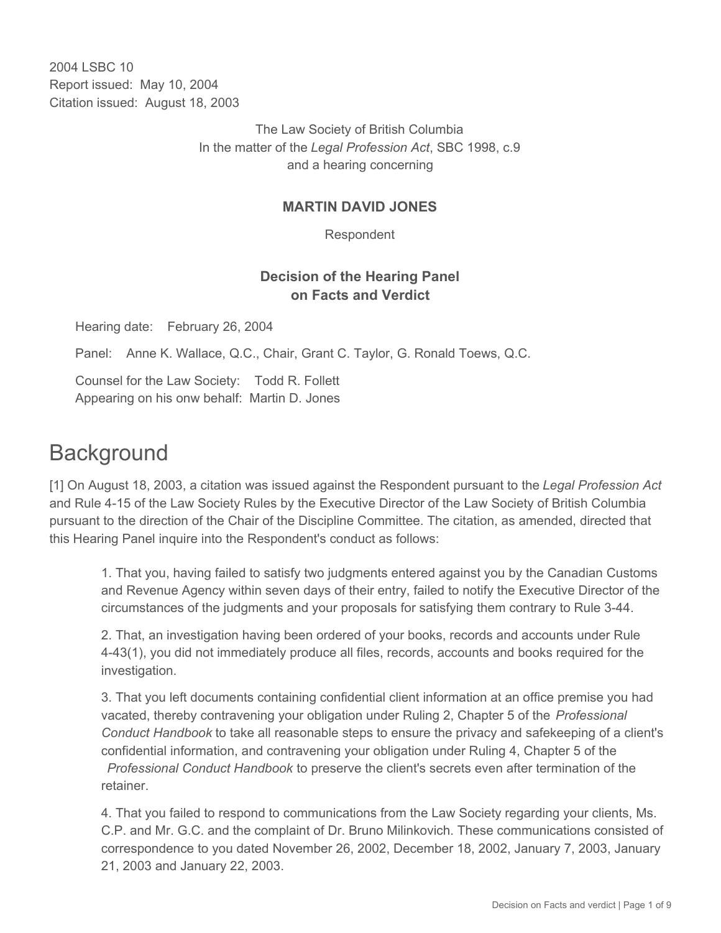2004 LSBC 10 Report issued: May 10, 2004 Citation issued: August 18, 2003

> The Law Society of British Columbia In the matter of the *Legal Profession Act*, SBC 1998, c.9 and a hearing concerning

#### **MARTIN DAVID JONES**

Respondent

## **Decision of the Hearing Panel on Facts and Verdict**

Hearing date: February 26, 2004

Panel: Anne K. Wallace, Q.C., Chair, Grant C. Taylor, G. Ronald Toews, Q.C.

Counsel for the Law Society: Todd R. Follett Appearing on his onw behalf: Martin D. Jones

# **Background**

[1] On August 18, 2003, a citation was issued against the Respondent pursuant to the *Legal Profession Act* and Rule 4-15 of the Law Society Rules by the Executive Director of the Law Society of British Columbia pursuant to the direction of the Chair of the Discipline Committee. The citation, as amended, directed that this Hearing Panel inquire into the Respondent's conduct as follows:

1. That you, having failed to satisfy two judgments entered against you by the Canadian Customs and Revenue Agency within seven days of their entry, failed to notify the Executive Director of the circumstances of the judgments and your proposals for satisfying them contrary to Rule 3-44.

2. That, an investigation having been ordered of your books, records and accounts under Rule 4-43(1), you did not immediately produce all files, records, accounts and books required for the investigation.

3. That you left documents containing confidential client information at an office premise you had vacated, thereby contravening your obligation under Ruling 2, Chapter 5 of the *Professional Conduct Handbook* to take all reasonable steps to ensure the privacy and safekeeping of a client's confidential information, and contravening your obligation under Ruling 4, Chapter 5 of the *Professional Conduct Handbook* to preserve the client's secrets even after termination of the retainer.

4. That you failed to respond to communications from the Law Society regarding your clients, Ms. C.P. and Mr. G.C. and the complaint of Dr. Bruno Milinkovich. These communications consisted of correspondence to you dated November 26, 2002, December 18, 2002, January 7, 2003, January 21, 2003 and January 22, 2003.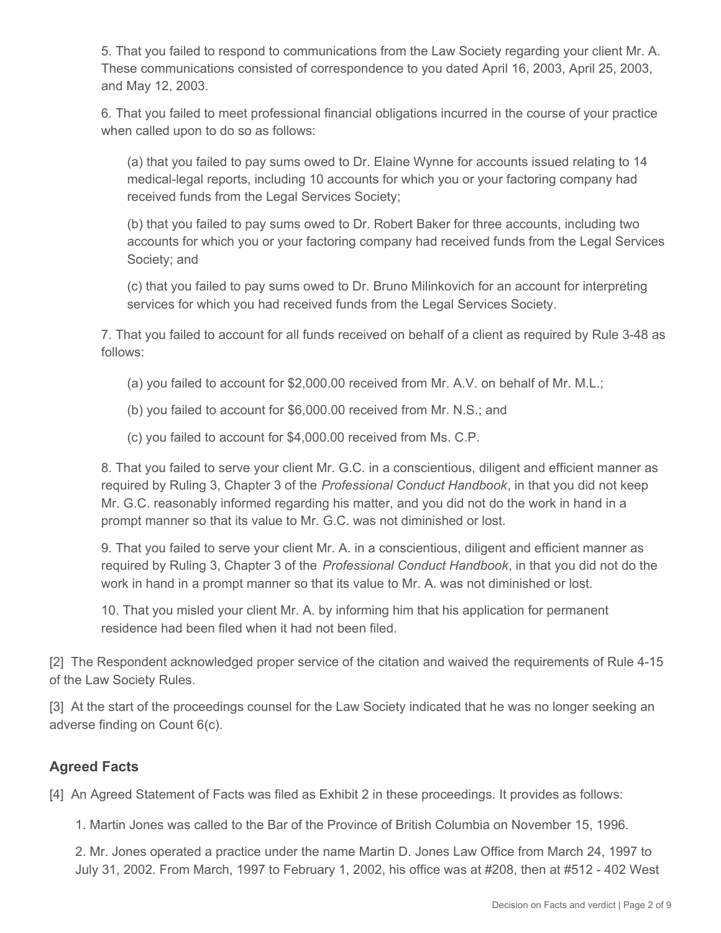5. That you failed to respond to communications from the Law Society regarding your client Mr. A. These communications consisted of correspondence to you dated April 16, 2003, April 25, 2003, and May 12, 2003.

6. That you failed to meet professional financial obligations incurred in the course of your practice when called upon to do so as follows:

(a) that you failed to pay sums owed to Dr. Elaine Wynne for accounts issued relating to 14 medical-legal reports, including 10 accounts for which you or your factoring company had received funds from the Legal Services Society;

(b) that you failed to pay sums owed to Dr. Robert Baker for three accounts, including two accounts for which you or your factoring company had received funds from the Legal Services Society; and

(c) that you failed to pay sums owed to Dr. Bruno Milinkovich for an account for interpreting services for which you had received funds from the Legal Services Society.

7. That you failed to account for all funds received on behalf of a client as required by Rule 3-48 as follows:

- (a) you failed to account for \$2,000.00 received from Mr. A.V. on behalf of Mr. M.L.;
- (b) you failed to account for \$6,000.00 received from Mr. N.S.; and

(c) you failed to account for \$4,000.00 received from Ms. C.P.

8. That you failed to serve your client Mr. G.C. in a conscientious, diligent and efficient manner as required by Ruling 3, Chapter 3 of the *Professional Conduct Handbook*, in that you did not keep Mr. G.C. reasonably informed regarding his matter, and you did not do the work in hand in a prompt manner so that its value to Mr. G.C. was not diminished or lost.

9. That you failed to serve your client Mr. A. in a conscientious, diligent and efficient manner as required by Ruling 3, Chapter 3 of the *Professional Conduct Handbook*, in that you did not do the work in hand in a prompt manner so that its value to Mr. A. was not diminished or lost.

10. That you misled your client Mr. A. by informing him that his application for permanent residence had been filed when it had not been filed.

[2] The Respondent acknowledged proper service of the citation and waived the requirements of Rule 4-15 of the Law Society Rules.

[3] At the start of the proceedings counsel for the Law Society indicated that he was no longer seeking an adverse finding on Count 6(c).

## **Agreed Facts**

[4] An Agreed Statement of Facts was filed as Exhibit 2 in these proceedings. It provides as follows:

1. Martin Jones was called to the Bar of the Province of British Columbia on November 15, 1996.

2. Mr. Jones operated a practice under the name Martin D. Jones Law Office from March 24, 1997 to July 31, 2002. From March, 1997 to February 1, 2002, his office was at #208, then at #512 - 402 West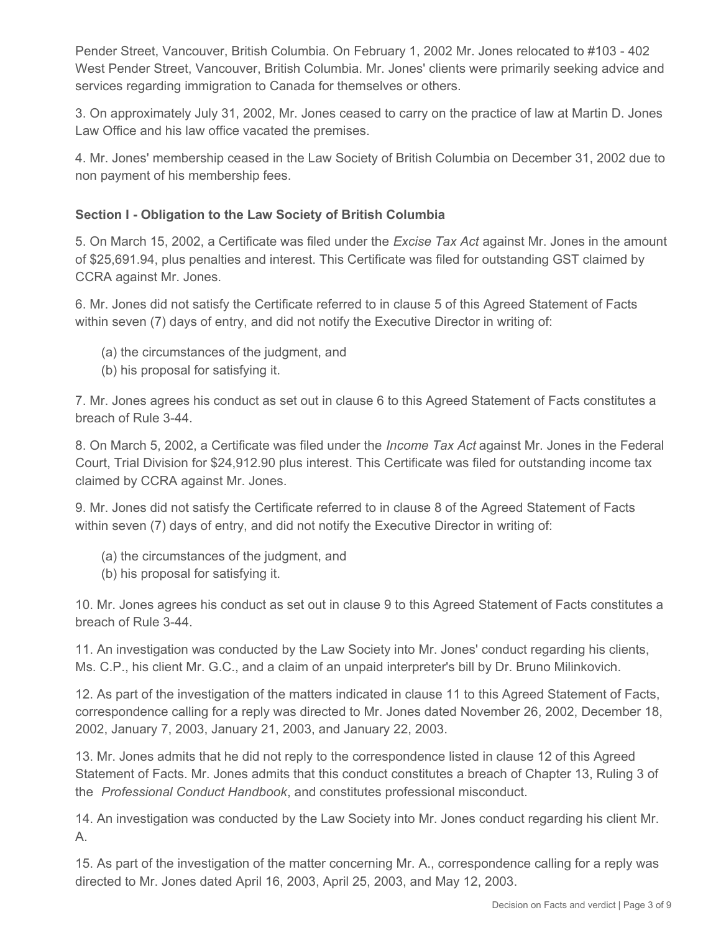Pender Street, Vancouver, British Columbia. On February 1, 2002 Mr. Jones relocated to #103 - 402 West Pender Street, Vancouver, British Columbia. Mr. Jones' clients were primarily seeking advice and services regarding immigration to Canada for themselves or others.

3. On approximately July 31, 2002, Mr. Jones ceased to carry on the practice of law at Martin D. Jones Law Office and his law office vacated the premises.

4. Mr. Jones' membership ceased in the Law Society of British Columbia on December 31, 2002 due to non payment of his membership fees.

#### **Section I - Obligation to the Law Society of British Columbia**

5. On March 15, 2002, a Certificate was filed under the *Excise Tax Act* against Mr. Jones in the amount of \$25,691.94, plus penalties and interest. This Certificate was filed for outstanding GST claimed by CCRA against Mr. Jones.

6. Mr. Jones did not satisfy the Certificate referred to in clause 5 of this Agreed Statement of Facts within seven (7) days of entry, and did not notify the Executive Director in writing of:

- (a) the circumstances of the judgment, and
- (b) his proposal for satisfying it.

7. Mr. Jones agrees his conduct as set out in clause 6 to this Agreed Statement of Facts constitutes a breach of Rule 3-44.

8. On March 5, 2002, a Certificate was filed under the *Income Tax Act* against Mr. Jones in the Federal Court, Trial Division for \$24,912.90 plus interest. This Certificate was filed for outstanding income tax claimed by CCRA against Mr. Jones.

9. Mr. Jones did not satisfy the Certificate referred to in clause 8 of the Agreed Statement of Facts within seven (7) days of entry, and did not notify the Executive Director in writing of:

- (a) the circumstances of the judgment, and
- (b) his proposal for satisfying it.

10. Mr. Jones agrees his conduct as set out in clause 9 to this Agreed Statement of Facts constitutes a breach of Rule 3-44.

11. An investigation was conducted by the Law Society into Mr. Jones' conduct regarding his clients, Ms. C.P., his client Mr. G.C., and a claim of an unpaid interpreter's bill by Dr. Bruno Milinkovich.

12. As part of the investigation of the matters indicated in clause 11 to this Agreed Statement of Facts, correspondence calling for a reply was directed to Mr. Jones dated November 26, 2002, December 18, 2002, January 7, 2003, January 21, 2003, and January 22, 2003.

13. Mr. Jones admits that he did not reply to the correspondence listed in clause 12 of this Agreed Statement of Facts. Mr. Jones admits that this conduct constitutes a breach of Chapter 13, Ruling 3 of the *Professional Conduct Handbook*, and constitutes professional misconduct.

14. An investigation was conducted by the Law Society into Mr. Jones conduct regarding his client Mr. A.

15. As part of the investigation of the matter concerning Mr. A., correspondence calling for a reply was directed to Mr. Jones dated April 16, 2003, April 25, 2003, and May 12, 2003.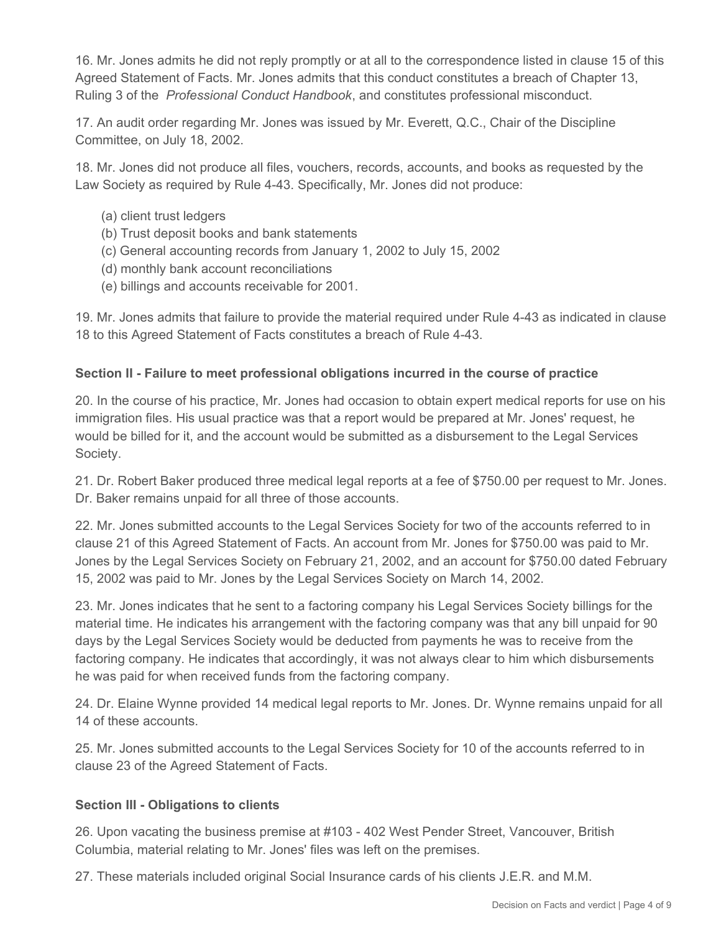16. Mr. Jones admits he did not reply promptly or at all to the correspondence listed in clause 15 of this Agreed Statement of Facts. Mr. Jones admits that this conduct constitutes a breach of Chapter 13, Ruling 3 of the *Professional Conduct Handbook*, and constitutes professional misconduct.

17. An audit order regarding Mr. Jones was issued by Mr. Everett, Q.C., Chair of the Discipline Committee, on July 18, 2002.

18. Mr. Jones did not produce all files, vouchers, records, accounts, and books as requested by the Law Society as required by Rule 4-43. Specifically, Mr. Jones did not produce:

- (a) client trust ledgers
- (b) Trust deposit books and bank statements
- (c) General accounting records from January 1, 2002 to July 15, 2002
- (d) monthly bank account reconciliations
- (e) billings and accounts receivable for 2001.

19. Mr. Jones admits that failure to provide the material required under Rule 4-43 as indicated in clause 18 to this Agreed Statement of Facts constitutes a breach of Rule 4-43.

#### **Section II - Failure to meet professional obligations incurred in the course of practice**

20. In the course of his practice, Mr. Jones had occasion to obtain expert medical reports for use on his immigration files. His usual practice was that a report would be prepared at Mr. Jones' request, he would be billed for it, and the account would be submitted as a disbursement to the Legal Services Society.

21. Dr. Robert Baker produced three medical legal reports at a fee of \$750.00 per request to Mr. Jones. Dr. Baker remains unpaid for all three of those accounts.

22. Mr. Jones submitted accounts to the Legal Services Society for two of the accounts referred to in clause 21 of this Agreed Statement of Facts. An account from Mr. Jones for \$750.00 was paid to Mr. Jones by the Legal Services Society on February 21, 2002, and an account for \$750.00 dated February 15, 2002 was paid to Mr. Jones by the Legal Services Society on March 14, 2002.

23. Mr. Jones indicates that he sent to a factoring company his Legal Services Society billings for the material time. He indicates his arrangement with the factoring company was that any bill unpaid for 90 days by the Legal Services Society would be deducted from payments he was to receive from the factoring company. He indicates that accordingly, it was not always clear to him which disbursements he was paid for when received funds from the factoring company.

24. Dr. Elaine Wynne provided 14 medical legal reports to Mr. Jones. Dr. Wynne remains unpaid for all 14 of these accounts.

25. Mr. Jones submitted accounts to the Legal Services Society for 10 of the accounts referred to in clause 23 of the Agreed Statement of Facts.

#### **Section III - Obligations to clients**

26. Upon vacating the business premise at #103 - 402 West Pender Street, Vancouver, British Columbia, material relating to Mr. Jones' files was left on the premises.

27. These materials included original Social Insurance cards of his clients J.E.R. and M.M.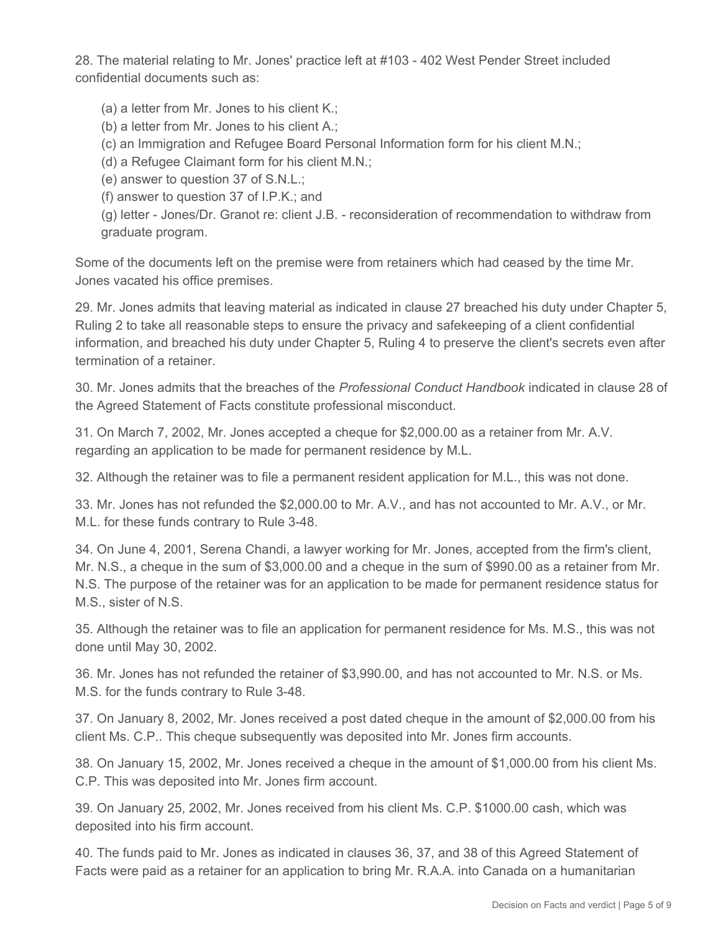28. The material relating to Mr. Jones' practice left at #103 - 402 West Pender Street included confidential documents such as:

(a) a letter from Mr. Jones to his client K.;

(b) a letter from Mr. Jones to his client A.;

(c) an Immigration and Refugee Board Personal Information form for his client M.N.;

(d) a Refugee Claimant form for his client M.N.;

(e) answer to question 37 of S.N.L.;

(f) answer to question 37 of I.P.K.; and

(g) letter - Jones/Dr. Granot re: client J.B. - reconsideration of recommendation to withdraw from graduate program.

Some of the documents left on the premise were from retainers which had ceased by the time Mr. Jones vacated his office premises.

29. Mr. Jones admits that leaving material as indicated in clause 27 breached his duty under Chapter 5, Ruling 2 to take all reasonable steps to ensure the privacy and safekeeping of a client confidential information, and breached his duty under Chapter 5, Ruling 4 to preserve the client's secrets even after termination of a retainer.

30. Mr. Jones admits that the breaches of the *Professional Conduct Handbook* indicated in clause 28 of the Agreed Statement of Facts constitute professional misconduct.

31. On March 7, 2002, Mr. Jones accepted a cheque for \$2,000.00 as a retainer from Mr. A.V. regarding an application to be made for permanent residence by M.L.

32. Although the retainer was to file a permanent resident application for M.L., this was not done.

33. Mr. Jones has not refunded the \$2,000.00 to Mr. A.V., and has not accounted to Mr. A.V., or Mr. M.L. for these funds contrary to Rule 3-48.

34. On June 4, 2001, Serena Chandi, a lawyer working for Mr. Jones, accepted from the firm's client, Mr. N.S., a cheque in the sum of \$3,000.00 and a cheque in the sum of \$990.00 as a retainer from Mr. N.S. The purpose of the retainer was for an application to be made for permanent residence status for M.S., sister of N.S.

35. Although the retainer was to file an application for permanent residence for Ms. M.S., this was not done until May 30, 2002.

36. Mr. Jones has not refunded the retainer of \$3,990.00, and has not accounted to Mr. N.S. or Ms. M.S. for the funds contrary to Rule 3-48.

37. On January 8, 2002, Mr. Jones received a post dated cheque in the amount of \$2,000.00 from his client Ms. C.P.. This cheque subsequently was deposited into Mr. Jones firm accounts.

38. On January 15, 2002, Mr. Jones received a cheque in the amount of \$1,000.00 from his client Ms. C.P. This was deposited into Mr. Jones firm account.

39. On January 25, 2002, Mr. Jones received from his client Ms. C.P. \$1000.00 cash, which was deposited into his firm account.

40. The funds paid to Mr. Jones as indicated in clauses 36, 37, and 38 of this Agreed Statement of Facts were paid as a retainer for an application to bring Mr. R.A.A. into Canada on a humanitarian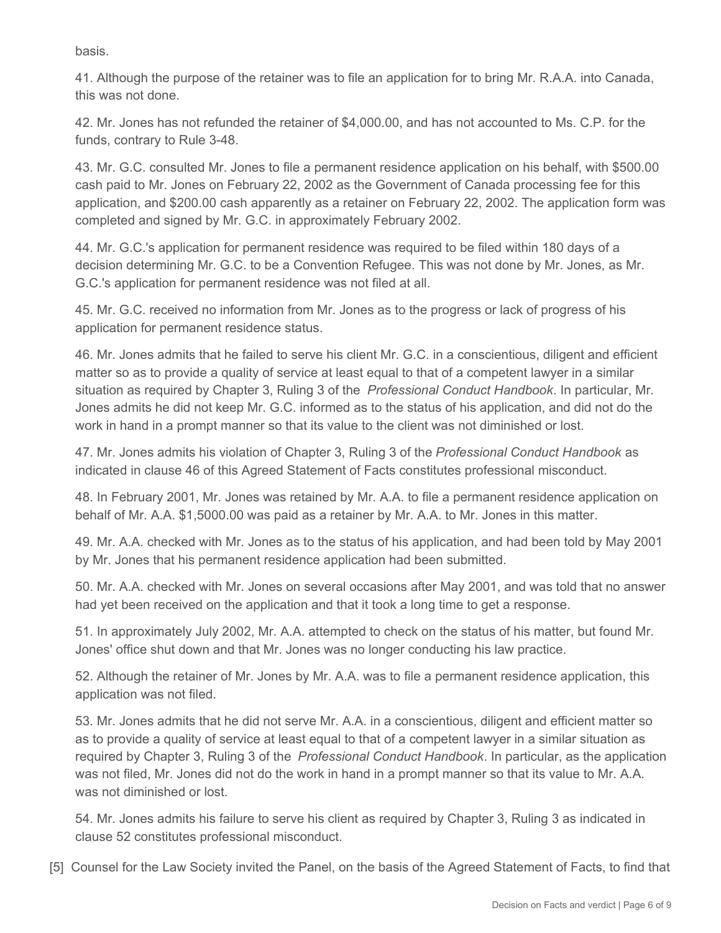basis.

41. Although the purpose of the retainer was to file an application for to bring Mr. R.A.A. into Canada, this was not done.

42. Mr. Jones has not refunded the retainer of \$4,000.00, and has not accounted to Ms. C.P. for the funds, contrary to Rule 3-48.

43. Mr. G.C. consulted Mr. Jones to file a permanent residence application on his behalf, with \$500.00 cash paid to Mr. Jones on February 22, 2002 as the Government of Canada processing fee for this application, and \$200.00 cash apparently as a retainer on February 22, 2002. The application form was completed and signed by Mr. G.C. in approximately February 2002.

44. Mr. G.C.'s application for permanent residence was required to be filed within 180 days of a decision determining Mr. G.C. to be a Convention Refugee. This was not done by Mr. Jones, as Mr. G.C.'s application for permanent residence was not filed at all.

45. Mr. G.C. received no information from Mr. Jones as to the progress or lack of progress of his application for permanent residence status.

46. Mr. Jones admits that he failed to serve his client Mr. G.C. in a conscientious, diligent and efficient matter so as to provide a quality of service at least equal to that of a competent lawyer in a similar situation as required by Chapter 3, Ruling 3 of the *Professional Conduct Handbook*. In particular, Mr. Jones admits he did not keep Mr. G.C. informed as to the status of his application, and did not do the work in hand in a prompt manner so that its value to the client was not diminished or lost.

47. Mr. Jones admits his violation of Chapter 3, Ruling 3 of the *Professional Conduct Handbook* as indicated in clause 46 of this Agreed Statement of Facts constitutes professional misconduct.

48. In February 2001, Mr. Jones was retained by Mr. A.A. to file a permanent residence application on behalf of Mr. A.A. \$1,5000.00 was paid as a retainer by Mr. A.A. to Mr. Jones in this matter.

49. Mr. A.A. checked with Mr. Jones as to the status of his application, and had been told by May 2001 by Mr. Jones that his permanent residence application had been submitted.

50. Mr. A.A. checked with Mr. Jones on several occasions after May 2001, and was told that no answer had yet been received on the application and that it took a long time to get a response.

51. In approximately July 2002, Mr. A.A. attempted to check on the status of his matter, but found Mr. Jones' office shut down and that Mr. Jones was no longer conducting his law practice.

52. Although the retainer of Mr. Jones by Mr. A.A. was to file a permanent residence application, this application was not filed.

53. Mr. Jones admits that he did not serve Mr. A.A. in a conscientious, diligent and efficient matter so as to provide a quality of service at least equal to that of a competent lawyer in a similar situation as required by Chapter 3, Ruling 3 of the *Professional Conduct Handbook*. In particular, as the application was not filed, Mr. Jones did not do the work in hand in a prompt manner so that its value to Mr. A.A. was not diminished or lost.

54. Mr. Jones admits his failure to serve his client as required by Chapter 3, Ruling 3 as indicated in clause 52 constitutes professional misconduct.

[5] Counsel for the Law Society invited the Panel, on the basis of the Agreed Statement of Facts, to find that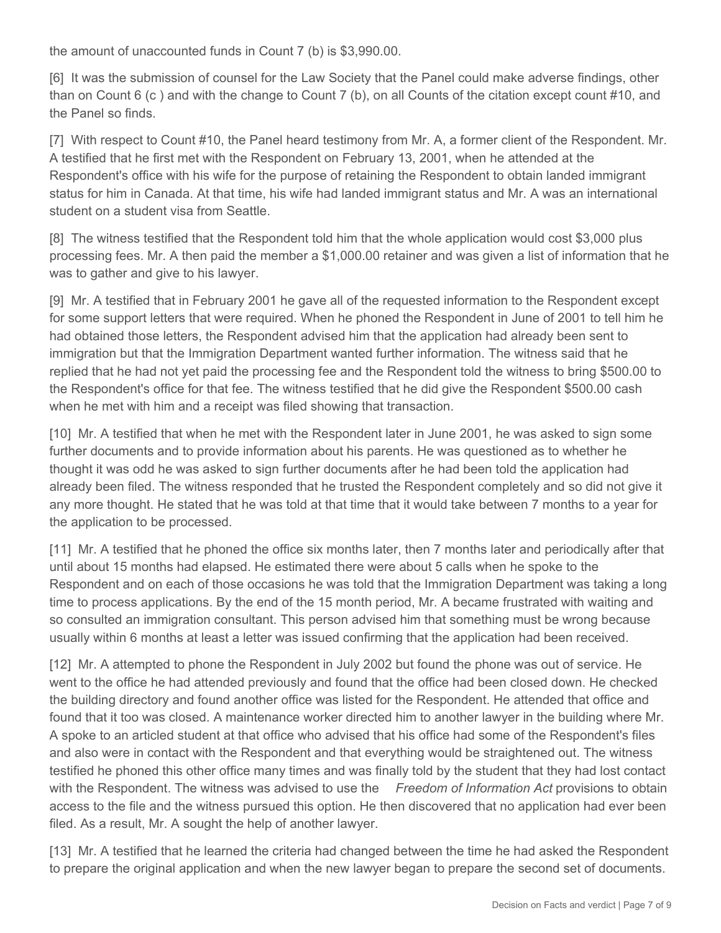the amount of unaccounted funds in Count 7 (b) is \$3,990.00.

[6] It was the submission of counsel for the Law Society that the Panel could make adverse findings, other than on Count 6 (c ) and with the change to Count 7 (b), on all Counts of the citation except count #10, and the Panel so finds.

[7] With respect to Count #10, the Panel heard testimony from Mr. A, a former client of the Respondent. Mr. A testified that he first met with the Respondent on February 13, 2001, when he attended at the Respondent's office with his wife for the purpose of retaining the Respondent to obtain landed immigrant status for him in Canada. At that time, his wife had landed immigrant status and Mr. A was an international student on a student visa from Seattle.

[8] The witness testified that the Respondent told him that the whole application would cost \$3,000 plus processing fees. Mr. A then paid the member a \$1,000.00 retainer and was given a list of information that he was to gather and give to his lawyer.

[9] Mr. A testified that in February 2001 he gave all of the requested information to the Respondent except for some support letters that were required. When he phoned the Respondent in June of 2001 to tell him he had obtained those letters, the Respondent advised him that the application had already been sent to immigration but that the Immigration Department wanted further information. The witness said that he replied that he had not yet paid the processing fee and the Respondent told the witness to bring \$500.00 to the Respondent's office for that fee. The witness testified that he did give the Respondent \$500.00 cash when he met with him and a receipt was filed showing that transaction.

[10] Mr. A testified that when he met with the Respondent later in June 2001, he was asked to sign some further documents and to provide information about his parents. He was questioned as to whether he thought it was odd he was asked to sign further documents after he had been told the application had already been filed. The witness responded that he trusted the Respondent completely and so did not give it any more thought. He stated that he was told at that time that it would take between 7 months to a year for the application to be processed.

[11] Mr. A testified that he phoned the office six months later, then 7 months later and periodically after that until about 15 months had elapsed. He estimated there were about 5 calls when he spoke to the Respondent and on each of those occasions he was told that the Immigration Department was taking a long time to process applications. By the end of the 15 month period, Mr. A became frustrated with waiting and so consulted an immigration consultant. This person advised him that something must be wrong because usually within 6 months at least a letter was issued confirming that the application had been received.

[12] Mr. A attempted to phone the Respondent in July 2002 but found the phone was out of service. He went to the office he had attended previously and found that the office had been closed down. He checked the building directory and found another office was listed for the Respondent. He attended that office and found that it too was closed. A maintenance worker directed him to another lawyer in the building where Mr. A spoke to an articled student at that office who advised that his office had some of the Respondent's files and also were in contact with the Respondent and that everything would be straightened out. The witness testified he phoned this other office many times and was finally told by the student that they had lost contact with the Respondent. The witness was advised to use the *Freedom of Information Act* provisions to obtain access to the file and the witness pursued this option. He then discovered that no application had ever been filed. As a result, Mr. A sought the help of another lawyer.

[13] Mr. A testified that he learned the criteria had changed between the time he had asked the Respondent to prepare the original application and when the new lawyer began to prepare the second set of documents.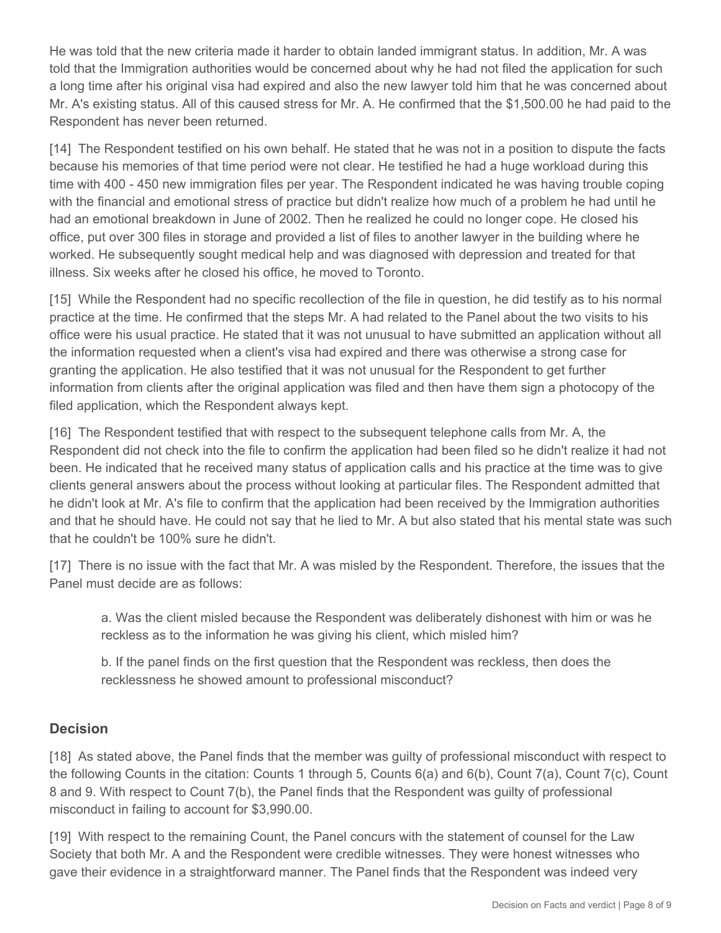He was told that the new criteria made it harder to obtain landed immigrant status. In addition, Mr. A was told that the Immigration authorities would be concerned about why he had not filed the application for such a long time after his original visa had expired and also the new lawyer told him that he was concerned about Mr. A's existing status. All of this caused stress for Mr. A. He confirmed that the \$1,500.00 he had paid to the Respondent has never been returned.

[14] The Respondent testified on his own behalf. He stated that he was not in a position to dispute the facts because his memories of that time period were not clear. He testified he had a huge workload during this time with 400 - 450 new immigration files per year. The Respondent indicated he was having trouble coping with the financial and emotional stress of practice but didn't realize how much of a problem he had until he had an emotional breakdown in June of 2002. Then he realized he could no longer cope. He closed his office, put over 300 files in storage and provided a list of files to another lawyer in the building where he worked. He subsequently sought medical help and was diagnosed with depression and treated for that illness. Six weeks after he closed his office, he moved to Toronto.

[15] While the Respondent had no specific recollection of the file in question, he did testify as to his normal practice at the time. He confirmed that the steps Mr. A had related to the Panel about the two visits to his office were his usual practice. He stated that it was not unusual to have submitted an application without all the information requested when a client's visa had expired and there was otherwise a strong case for granting the application. He also testified that it was not unusual for the Respondent to get further information from clients after the original application was filed and then have them sign a photocopy of the filed application, which the Respondent always kept.

[16] The Respondent testified that with respect to the subsequent telephone calls from Mr. A, the Respondent did not check into the file to confirm the application had been filed so he didn't realize it had not been. He indicated that he received many status of application calls and his practice at the time was to give clients general answers about the process without looking at particular files. The Respondent admitted that he didn't look at Mr. A's file to confirm that the application had been received by the Immigration authorities and that he should have. He could not say that he lied to Mr. A but also stated that his mental state was such that he couldn't be 100% sure he didn't.

[17] There is no issue with the fact that Mr. A was misled by the Respondent. Therefore, the issues that the Panel must decide are as follows:

a. Was the client misled because the Respondent was deliberately dishonest with him or was he reckless as to the information he was giving his client, which misled him?

b. If the panel finds on the first question that the Respondent was reckless, then does the recklessness he showed amount to professional misconduct?

### **Decision**

[18] As stated above, the Panel finds that the member was guilty of professional misconduct with respect to the following Counts in the citation: Counts 1 through 5, Counts 6(a) and 6(b), Count 7(a), Count 7(c), Count 8 and 9. With respect to Count 7(b), the Panel finds that the Respondent was guilty of professional misconduct in failing to account for \$3,990.00.

[19] With respect to the remaining Count, the Panel concurs with the statement of counsel for the Law Society that both Mr. A and the Respondent were credible witnesses. They were honest witnesses who gave their evidence in a straightforward manner. The Panel finds that the Respondent was indeed very